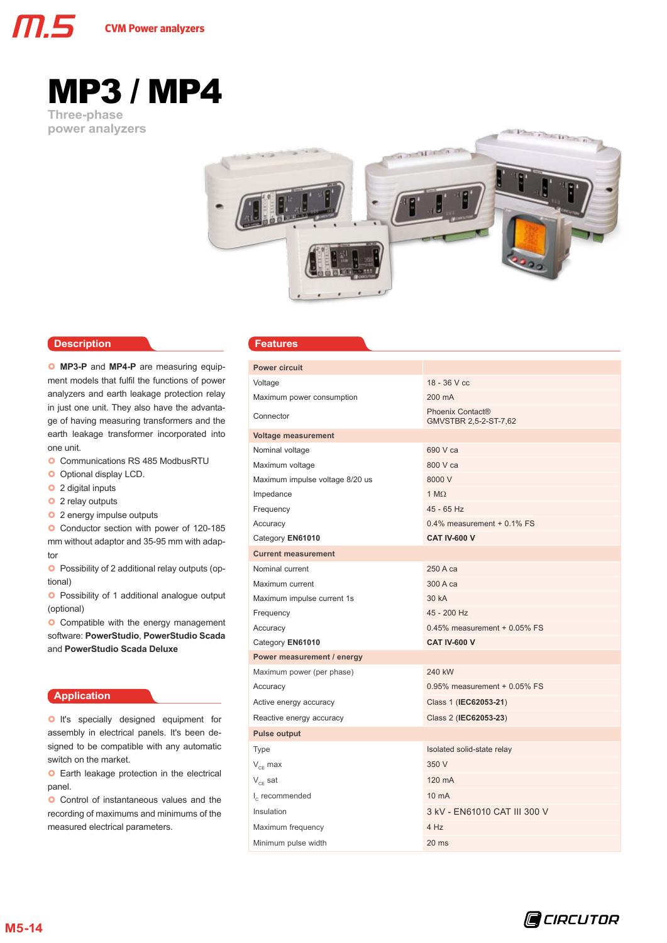

# **Three-phase**  MP3 / MP4

**power analyzers**



# **Description Readures**

**O** MP3-P and MP4-P are measuring equipment models that fulfil the functions of power analyzers and earth leakage protection relay in just one unit. They also have the advantage of having measuring transformers and the earth leakage transformer incorporated into one unit.

- **O** Communications RS 485 ModbusRTU
- **O** Optional display LCD.
- **o** 2 digital inputs
- **o** 2 relay outputs
- **o** 2 energy impulse outputs

**O** Conductor section with power of 120-185 mm without adaptor and 35-95 mm with adaptor

**O** Possibility of 2 additional relay outputs (optional)

**O** Possibility of 1 additional analogue output (optional)

**O** Compatible with the energy management software: **PowerStudio**, **PowerStudio Scada** and **PowerStudio Scada Deluxe**

# **Application**

**O** It's specially designed equipment for assembly in electrical panels. It's been designed to be compatible with any automatic switch on the market.

**O** Earth leakage protection in the electrical panel.

**O** Control of instantaneous values and the recording of maximums and minimums of the measured electrical parameters.

| <b>Power circuit</b>                             |                                                       |  |  |  |
|--------------------------------------------------|-------------------------------------------------------|--|--|--|
| Voltage                                          | $18 - 36$ V cc                                        |  |  |  |
| Maximum power consumption                        | 200 mA                                                |  |  |  |
| Connector                                        | Phoenix Contact <sup>®</sup><br>GMVSTBR 2,5-2-ST-7,62 |  |  |  |
| <b>Voltage measurement</b>                       |                                                       |  |  |  |
| Nominal voltage                                  | 690 V ca                                              |  |  |  |
| Maximum voltage                                  | 800 V ca                                              |  |  |  |
| Maximum impulse voltage 8/20 us                  | 8000 V                                                |  |  |  |
| Impedance                                        | $1 M\Omega$                                           |  |  |  |
| Frequency                                        | 45 - 65 Hz                                            |  |  |  |
| Accuracy                                         | 0.4% measurement + 0.1% FS                            |  |  |  |
| Category EN61010                                 | <b>CAT IV-600 V</b>                                   |  |  |  |
| <b>Current measurement</b>                       |                                                       |  |  |  |
| Nominal current                                  | 250 A ca                                              |  |  |  |
| Maximum current                                  | 300 A ca                                              |  |  |  |
| Maximum impulse current 1s                       | 30 kA                                                 |  |  |  |
| Frequency                                        | 45 - 200 Hz                                           |  |  |  |
| Accuracy                                         | $0.45\%$ measurement + $0.05\%$ FS                    |  |  |  |
| Category EN61010                                 | <b>CAT IV-600 V</b>                                   |  |  |  |
| Power measurement / energy                       |                                                       |  |  |  |
| Maximum power (per phase)                        | 240 kW                                                |  |  |  |
| Accuracy                                         | $0.95\%$ measurement + 0.05% FS                       |  |  |  |
| Active energy accuracy                           | Class 1 (IEC62053-21)                                 |  |  |  |
| Reactive energy accuracy                         | Class 2 (IEC62053-23)                                 |  |  |  |
| <b>Pulse output</b>                              |                                                       |  |  |  |
| <b>Type</b>                                      | Isolated solid-state relay                            |  |  |  |
| $\mathsf{V}_{\scriptscriptstyle{\text{CF}}}$ max | 350 V                                                 |  |  |  |
| $\rm V_{\rm CE}$ sat                             | 120 mA                                                |  |  |  |
| $I_c$ recommended                                | 10 mA                                                 |  |  |  |
| Insulation                                       | 3 kV - EN61010 CAT III 300 V                          |  |  |  |
| Maximum frequency                                | 4 Hz                                                  |  |  |  |
| Minimum pulse width                              | 20 ms                                                 |  |  |  |
|                                                  |                                                       |  |  |  |

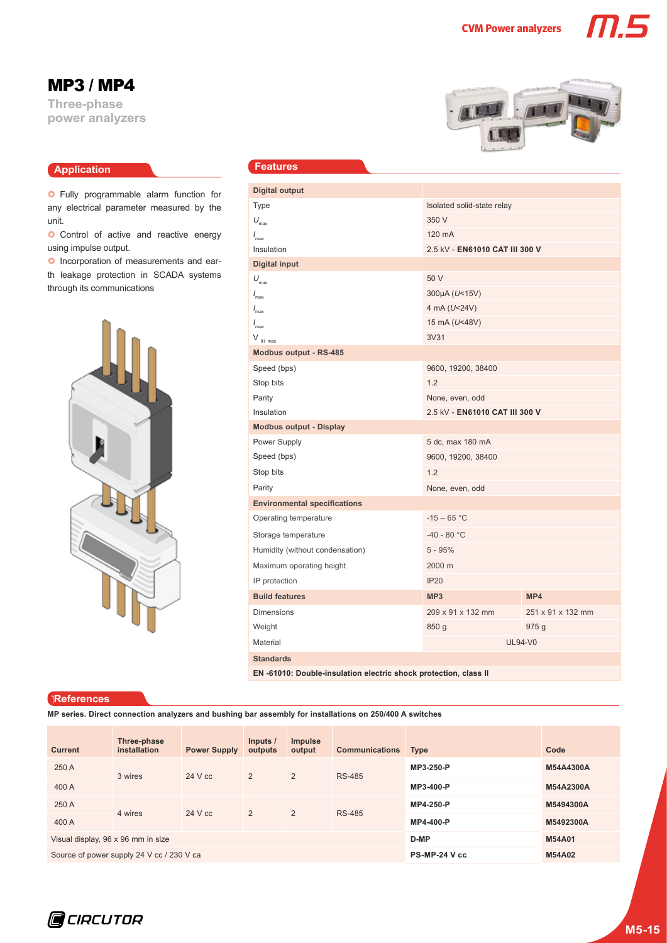MP3 / MP4

**Three-phase power analyzers**

# **Application**

**O** Fully programmable alarm function for any electrical parameter measured by the unit.

**O** Control of active and reactive energy using impulse output.

**O** Incorporation of measurements and earth leakage protection in SCADA systems through its communications



# **Features**

| <b>Digital output</b>                                            |                                |                   |  |  |  |
|------------------------------------------------------------------|--------------------------------|-------------------|--|--|--|
| Type                                                             | Isolated solid-state relay     |                   |  |  |  |
| $U_{\text{max}}$                                                 | 350 V                          |                   |  |  |  |
| $I_{\text{max}}$                                                 | 120 mA                         |                   |  |  |  |
| Insulation                                                       | 2.5 kV - EN61010 CAT III 300 V |                   |  |  |  |
| <b>Digital input</b>                                             |                                |                   |  |  |  |
| $U_{\text{max}}$                                                 | 50 V                           |                   |  |  |  |
| $I_{\rm max}$                                                    | 300µA (U<15V)                  |                   |  |  |  |
| $I_{\text{max}}$                                                 | 4 mA (U<24V)                   |                   |  |  |  |
| $I_{\text{max}}$                                                 | 15 mA (U<48V)                  |                   |  |  |  |
| $V_{\parallel}$ max                                              | 3V31                           |                   |  |  |  |
| <b>Modbus output - RS-485</b>                                    |                                |                   |  |  |  |
| Speed (bps)                                                      | 9600, 19200, 38400             |                   |  |  |  |
| Stop bits                                                        | 1.2                            |                   |  |  |  |
| Parity                                                           | None, even, odd                |                   |  |  |  |
| Insulation                                                       | 2.5 kV - EN61010 CAT III 300 V |                   |  |  |  |
| <b>Modbus output - Display</b>                                   |                                |                   |  |  |  |
| Power Supply                                                     | 5 dc, max 180 mA               |                   |  |  |  |
| Speed (bps)                                                      | 9600, 19200, 38400             |                   |  |  |  |
| Stop bits                                                        | 1.2                            |                   |  |  |  |
| Parity                                                           | None, even, odd                |                   |  |  |  |
| <b>Environmental specifications</b>                              |                                |                   |  |  |  |
| Operating temperature                                            | $-15 - 65$ °C                  |                   |  |  |  |
| Storage temperature                                              | $-40 - 80 °C$                  |                   |  |  |  |
| Humidity (without condensation)                                  | $5 - 95%$                      |                   |  |  |  |
| Maximum operating height                                         | 2000 m                         |                   |  |  |  |
| IP protection                                                    | <b>IP20</b>                    |                   |  |  |  |
| <b>Build features</b>                                            | MP <sub>3</sub>                | MP4               |  |  |  |
| <b>Dimensions</b>                                                | 209 x 91 x 132 mm              | 251 x 91 x 132 mm |  |  |  |
| Weight                                                           | 850 g                          | 975 g             |  |  |  |
| Material                                                         | <b>UL94-V0</b>                 |                   |  |  |  |
| <b>Standards</b>                                                 |                                |                   |  |  |  |
| EN -61010: Double-insulation electric shock protection, class II |                                |                   |  |  |  |

### **References**

**MP series. Direct connection analyzers and bushing bar assembly for installations on 250/400 A switches**

| <b>Current</b>                            | Three-phase<br>installation | <b>Power Supply</b> | Inputs /<br>outputs | <b>Impulse</b><br>output | <b>Communications</b> | <b>Type</b>   | Code      |
|-------------------------------------------|-----------------------------|---------------------|---------------------|--------------------------|-----------------------|---------------|-----------|
| 250 A                                     | 3 wires                     | $24$ V cc           | 2                   | $\overline{2}$           | <b>RS-485</b>         | MP3-250-P     | M54A4300A |
| 400 A                                     |                             |                     |                     |                          |                       | MP3-400-P     | M54A2300A |
| 250 A                                     | 4 wires                     | 24 V cc             | 2                   | 2                        | <b>RS-485</b>         | MP4-250-P     | M5494300A |
| 400 A                                     |                             |                     |                     |                          |                       | MP4-400-P     | M5492300A |
| Visual display, 96 x 96 mm in size        |                             |                     |                     |                          | D-MP                  | <b>M54A01</b> |           |
| Source of power supply 24 V cc / 230 V ca |                             |                     |                     |                          | PS-MP-24 V cc         | <b>M54A02</b> |           |